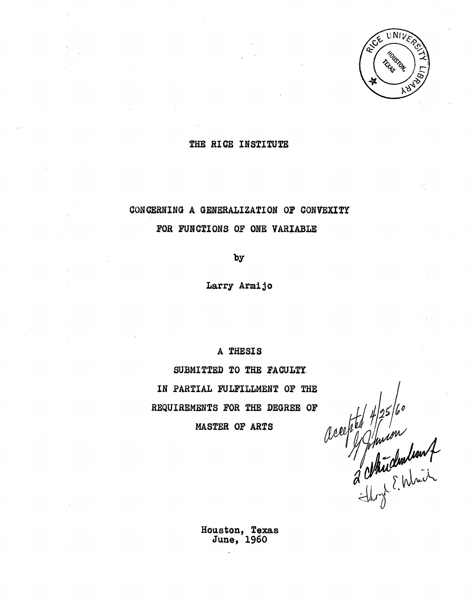

### THE RICE INSTITUTE

# CONCERNING A GENERALIZATION Of CONVEXITY FOR FUNCTIONS Of ONE VARIABLE

**toy**

Larry Armijo

#### A THESIS

SUBMITTED TO THE FACULTY IN PARTIAL FULFILLMENT OF THE REQUIREMENTS FOR THE DEGREE OF

MASTER OF ARTS

accepted 4/25/60<br>accepted Manon

Houston, Texas June, I960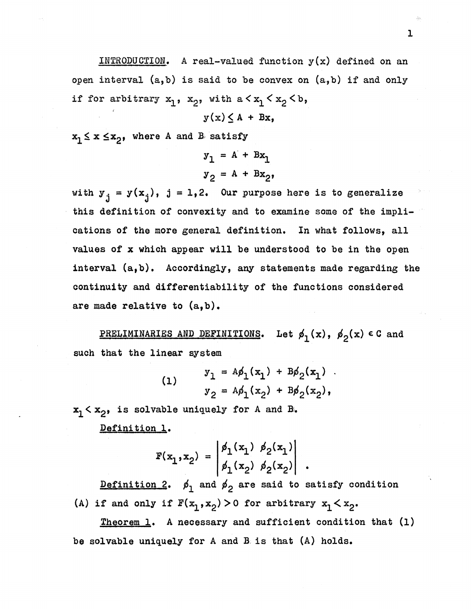**INTRODUCTION. A real-valued function y(x) defined on an open interval (a,b) is said to be convex on (a,b) if and only** if for arbitrary  $x_1$ ,  $x_2$ , with  $a < x_1 < x_2 < b$ ,  $y(x) < A + Bx$ 

 $x_1 \leq x \leq x_2$ , where A and B satisfy

$$
y_1 = A + Bx_1
$$
  

$$
y_2 = A + Bx_2
$$

**with**  $y^{}_{j} = y(x^{}_{j}),$   $j = 1, 2$ . Our purpose here is to generalize **this definition of convexity and to examine some of the impli cations of the more general definition. In what follows, all values of x which appear will be understood to be in the open interval (a,b). Accordingly, any statements made regarding the continuity and differentiability of the functions considered are made relative to (a,b).**

**PRELIMINARIES AND DEFINITIONS.** Let  $\phi_1(x)$ ,  $\phi_2(x) \in C$  and **such that the linear system**

near system  
\n(1) 
$$
y_1 = A\phi_1(x_1) + B\phi_2(x_1)
$$
  
\n $y_2 = A\phi_1(x_2) + B\phi_2(x_2)$ ,

**x**<sub>1</sub>  $\times$  **x**<sub>2</sub>, is solvable uniquely for A and B.

**Definition 1.**

$$
F(x_1, x_2) = \begin{vmatrix} \phi_1(x_1) & \phi_2(x_1) \\ \phi_1(x_2) & \phi_2(x_2) \end{vmatrix} .
$$

**Definition 2.**  $\phi_1$  and  $\phi_2$  are said to satisfy condition (A) if and only if  $F(x_1, x_2) > 0$  for arbitrary  $x_1 < x_2$ .

**Theorem 1. A necessary and sufficient condition that (1) be solvable uniquely for A and B is that (A) holds.**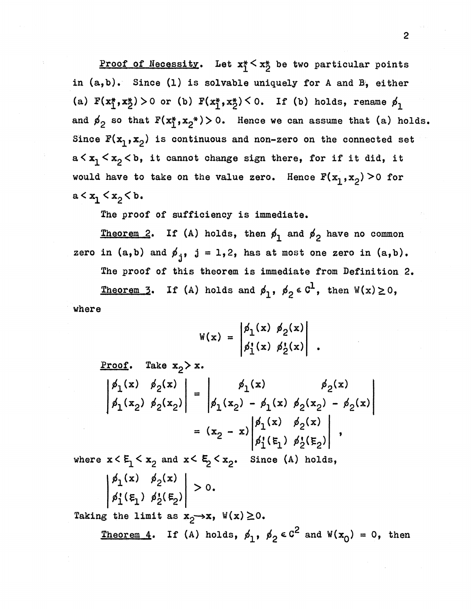**Proof** of **Necessity**. Let  $x_1^* \leq x_2^*$  be two particular points **in (a,b). Since (1) is solvable uniquely for <sup>A</sup> and B, either** (a)  $F(x_1^*, x_2^*) > 0$  or (b)  $F(x_1^*, x_2^*) < 0$ . If (b) holds, rename  $\phi_1$ and  $\phi_2$  so that  $F(x_1^*, x_2^*) > 0$ . Hence we can assume that (a) holds. Since  $F(x_1, x_2)$  is continuous and non-zero on the connected set **a<3c<sup>1</sup><x2<b, it cannot change sign there, for if it did, it would** have to take on the value zero. Hence  $F(x_1, x_2) > 0$  for **a< x-^ <x2<b.**

**The proof of sufficiency is immediate.**

 $\frac{\text{Theorem 2. If (A) holds, then $\phi_1$ and $\phi_2$ have no common}$ zero in  $(a,b)$  and  $\phi_j$ ,  $j=1,2$ , has at most one zero in  $(a,b)$ . **The proof of this theorem is immediate from Definition 2. Theorem 3.** If (A) holds and  $\phi_1$ ,  $\phi_2 \in C^1$ , then  $W(x) \ge 0$ , **where**

$$
W(x) = \begin{vmatrix} \phi_1(x) & \phi_2(x) \\ \phi'_1(x) & \phi'_2(x) \end{vmatrix}.
$$

Proof. Take  $x_2 > x$ .  $\phi_1(x)$   $\phi_2(x)$  $\phi_1(x_2) \phi_2(x_2)$  $\begin{array}{cc} \n\phi_1(x) & \phi_2(x) \\ \n\phi_1(x_2) - \phi_1(x) & \phi_2(x_2) - \phi_1(x) \n\end{array}$  $(x_2) - \phi_2(x)$  $\phi_1(x)$   $\phi_2(x)$  $=$   $(x_2 - x) \begin{vmatrix} \frac{\mu_1}{\mu_1} & \frac{\mu_2}{\mu_2} \\ \frac{\mu_1}{\mu_1} & \frac{\mu_2}{\mu_2} \end{vmatrix}$ **> 0.** where  $x < E_1 < x_2$  and  $x < E_2 < x_2$ . Since (A) holds,  $\phi_1(x) \quad \phi_2(x)$ Taking the limit as  $x_2 \rightarrow x$ ,  $\forall$   $(x) \ge 0$ .

**Theorem 4.** If (A) holds,  $\phi_1$ ,  $\phi_2 \in C^2$  and  $W(x_0) = 0$ , then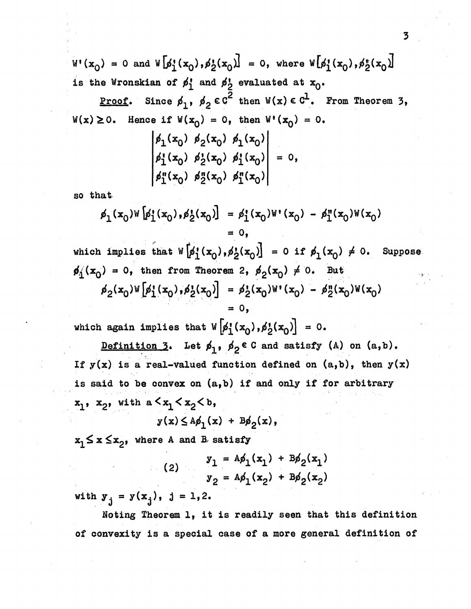$W'(x_0) = 0$  and  $W[\phi_1^*(x_0), \phi_2^*(x_0)] = 0$ , where  $W[\phi_1^*(x_0), \phi_2^*(x_0)]$ is the Wronskian of  $p'_1$  and  $p'_2$  evaluated at  $x_0$ .

**Proof.** Since  $\phi_1$ ,  $\phi_2 \in C^2$  then  $W(x) \in C^1$ . From Theorem 3,  $W(x) \ge 0$ . Hence if  $W(x_0) = 0$ , then  $W'(x_0) = 0$ .

$$
\begin{vmatrix} \beta_1(x_0) & \beta_2(x_0) & \beta_1(x_0) \\ \beta_1'(x_0) & \beta_2'(x_0) & \beta_1'(x_0) \\ \beta_1''(x_0) & \beta_2''(x_0) & \beta_1''(x_0) \end{vmatrix} = 0,
$$

**so that**

so that  
\n
$$
\begin{aligned}\n\phi_1(x_0) \Psi \left[ \phi_1^*(x_0), \phi_2^*(x_0) \right] &= \phi_1^*(x_0) \Psi^*(x_0) - \phi_1^*(x_0) \Psi(x_0) \\
&= 0,\n\end{aligned}
$$
\nwhich implies that 
$$
\Psi \left[ \phi_1^*(x_0), \phi_2^*(x_0) \right] = 0 \text{ if } \phi_1(x_0) \neq 0.
$$

 $0$  if  $\phi_1(x_0) \neq 0$ . Suppose  $\cancel{p}_1(x_0) = 0$ , then from Theorem 2,  $\cancel{p}_2(x_0) \neq 0$ . But  $\phi_2(x_0)W[\phi_1^{\prime}(x_0),\phi_2^{\prime}(x_0)] = \phi_2^{\prime}(x_0)W^{\prime}(x_0) - \phi_2^{\prime\prime}(x_0)W(x_0)$ **\* 0,**

which **again implies** that  $W\left[\phi_1^*(x_0), \phi_2^*(x_0)\right] = 0$ .

**Definition 3.** Let  $\phi_1$ ,  $\phi_2 \in C$  and satisfy (A) on  $(a,b)$ . **If**  $y(x)$  is a real-valued function defined on  $(a,b)$ , then  $y(x)$ **is said to be convex on (a,b) if and only if for arbitrary**  $x_1$ ,  $x_2$ , with  $a < x_1 < x_2 < b$ ,

$$
y(x) \leq A\phi_1(x) + B\phi_2(x),
$$

 $x_1 \leq x \leq x_2$ , where A and **E** satisfy

(2) 
$$
y_1 = A\phi_1(x_1) + B\phi_2(x_1)
$$

$$
y_2 = A\phi_1(x_2) + B\phi_2(x_2)
$$

**with**  $y_j = y(x_j)$ ,  $j = 1, 2$ .

**Hating Theorem 1, it is readily seen that this definition of convexity is a special case of a more general definition of**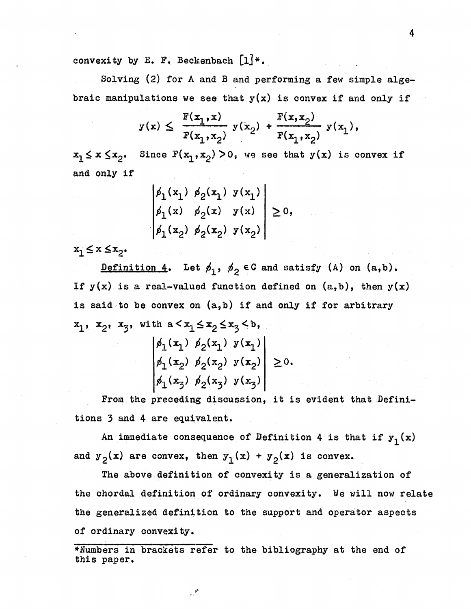convexity by  $E$ .  $F$ . Beckenbach  $\left[1\right]*$ .

**Solving (2) for A and B and performing a few simple alge braic manipulations we see that y(x) is convex if and only if**

$$
y(x) \leq \frac{F(x_1, x)}{F(x_1, x_2)} y(x_2) + \frac{F(x, x_2)}{F(x_1, x_2)} y(x_1),
$$

 $\mathbf{x}_1 \leq \mathbf{x} \leq \mathbf{x}_2$ . Since  $\mathbf{F}(\mathbf{x}_1, \mathbf{x}_2) > 0$ , we see that  $\mathbf{y}(\mathbf{x})$  is convex if **and only if**

| $\begin{vmatrix} \phi_1(x_1) & \phi_2(x_1) & y(x_1) \\ \phi_1(x) & \phi_2(x) & y(x) \\ \phi_1(x_2) & \phi_2(x_2) & y(x_2) \end{vmatrix} \ge 0,$ |  |
|-------------------------------------------------------------------------------------------------------------------------------------------------|--|

 $x_1 \leq x \leq x_2$ .

**Definition 4.** Let  $\phi_1$ ,  $\phi_2$   $\in$  C and satisfy (A) on (a,b). **If**  $y(x)$  is a real-valued function defined on  $(a, b)$ , then  $y(x)$ **is said to be convex on (a,b) if and only if for arbitrary**  $x_1, x_2, x_3, \text{ with } a \leq x_1 \leq x_2 \leq x_3 \leq b,$ 

$$
\begin{vmatrix}\n\lambda_1 & \lambda_2 & \lambda_3 & \lambda_4 \\
\lambda_1 & \lambda_2 & \lambda_3 & \lambda_4 \\
\lambda_1 & \lambda_2 & \lambda_2 & \lambda_3 \\
\lambda_2 & \lambda_2 & \lambda_2 & \lambda_3\n\end{vmatrix} \ge 0,
$$
\n
$$
\begin{vmatrix}\n\lambda_1 & \lambda_2 & \lambda_2 & \lambda_3 \\
\lambda_2 & \lambda_2 & \lambda_3 & \lambda_4 \\
\lambda_3 & \lambda_2 & \lambda_3 & \lambda_4\n\end{vmatrix} \ge 0.
$$

**From the preceding discussion, it is evident that Defini tions 2 and 4 are equivalent.**

An **immediate** consequence of Definition 4 is that if  $y_1(x)$ and  $y^2(x)$  are convex, then  $y^1(x) + y^2(x)$  is convex.

**The above definition of convexity is a generalization of the chordal definition of ordinary convexity. We will now relate the generalized definition to the support and operator aspects of ordinary convexity.**

**\*flumbers in brackets refer to the bibliography at the end of this paper.**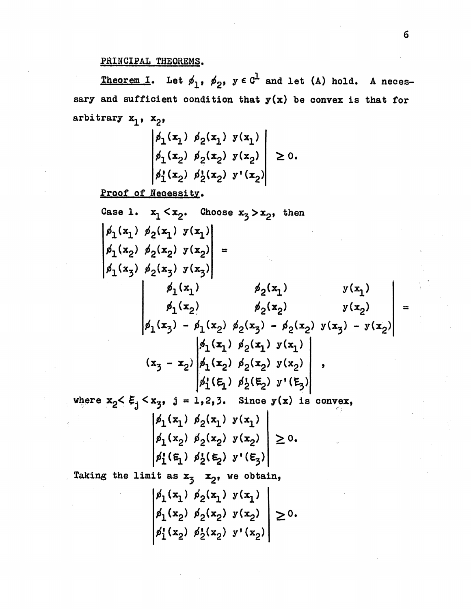## **PRINCIPAL THEOREMS.**

**Theorem I.** Let  $\phi_1$ ,  $\phi_2$ ,  $y \in C^1$  and let (A) hold. A neces**sary** and sufficient condition that  $y(x)$  be convex is that for<br> **arbitrary**  $x_1$ ,  $x_2$ ,<br>  $\begin{bmatrix} \beta_1(x_1) & \beta_2(x_1) & y(x_1) \\ \beta_1(x_2) & \beta_2(x_2) & y(x_2) \\ \beta_2(x_1) & \beta_1(x_2) & y(x_1) \end{bmatrix} \ge 0.$ **arbitrary x^, x2»**

$$
\begin{vmatrix} \n\phi_1(x_1) & \phi_2(x_1) & y(x_1) \\
\n\phi_1(x_2) & \phi_2(x_2) & y(x_2) \\
\n\phi_1'(x_2) & \phi_2'(x_2) & y'(x_2)\n\end{vmatrix} \geq 0.
$$

Proof of **Necessity**.

Case 1. 
$$
x_1 < x_2
$$
. Choose  $x_3 > x_2$ , then  
\n
$$
\begin{vmatrix}\n\phi_1(x_1) & \phi_2(x_1) & y(x_1) \\
\phi_1(x_2) & \phi_2(x_2) & y(x_2) \\
\phi_1(x_3) & \phi_2(x_3) & y(x_3)\n\end{vmatrix} =
$$
\n
$$
\begin{vmatrix}\n\phi_1(x_1) & \phi_2(x_1) & y(x_1) \\
\phi_1(x_2) & \phi_2(x_2) & y(x_2) \\
\phi_1(x_3) - \phi_1(x_2) & \phi_2(x_3) - \phi_2(x_2) & y(x_3) - y(x_2)\n\end{vmatrix} =
$$
\n
$$
(x_3 - x_2) \begin{vmatrix}\n\phi_1(x_1) & \phi_2(x_1) & y(x_1) \\
\phi_1(x_2) & \phi_2(x_2) & y(x_2) \\
\phi_1(x_1) & \phi_2(x_2) & y(x_2)\n\end{vmatrix},
$$

**where**  $x_2 < \xi_j < x_3$ ,  $j = 1,2,3$ . Since  $y(x)$  is convex,

$$
\begin{vmatrix} \n\phi_1(x_1) & \phi_2(x_1) & y(x_1) \\
\phi_1(x_2) & \phi_2(x_2) & y(x_2) \\
\phi_1'(\epsilon_1) & \phi_2'(\epsilon_2) & y'(\epsilon_3) \n\end{vmatrix} \geq 0.
$$

Taking the limit as  $x_3$   $x_2$ , we obtain,

$$
\begin{vmatrix} \n\phi_1(x_1) & \phi_2(x_1) & y(x_1) \\
\ng_1(x_2) & \phi_2(x_2) & y(x_2) \\
\ng_1'(x_2) & \phi_2'(x_2) & y'(x_2)\n\end{vmatrix} \geq 0.
$$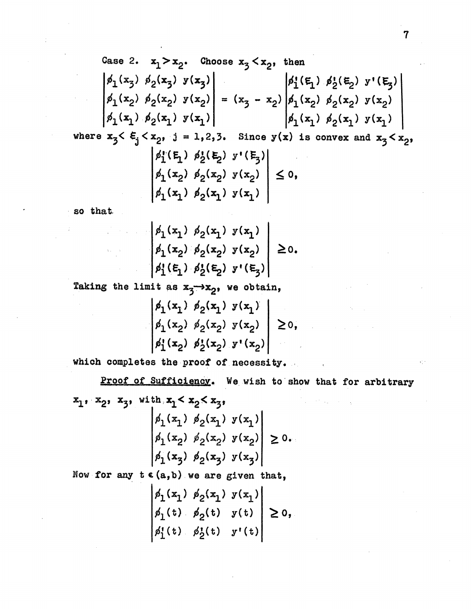Case 2. 
$$
x_1 > x_2
$$
. Choose  $x_3 < x_2$ , then  
\n
$$
\begin{vmatrix} \n\phi_1(x_3) & \phi_2(x_3) & y(x_3) \\
\n\phi_1(x_2) & \phi_2(x_2) & y(x_2) \\
\n\phi_1(x_1) & \phi_2(x_1) & y(x_1)\n\end{vmatrix} = (x_3 - x_2) \begin{vmatrix} \n\phi_1'(\epsilon_1) & \phi_2'(\epsilon_2) & y'(\epsilon_3) \\
\n\phi_1(x_2) & \phi_2(x_2) & y(x_2) \\
\n\phi_1(x_1) & \phi_2(x_1) & y(x_1)\n\end{vmatrix}
$$
\nwhere  $x_3 < \epsilon_3 < x_2$ ,  $\delta_2(z_2)$   $y'(\epsilon_3)$   
\n
$$
\begin{vmatrix} \n\phi_1'(\epsilon_1) & \phi_2'(\epsilon_2) & y'(\epsilon_3) \\
\n\phi_1(x_2) & \phi_2(x_2) & y(x_2) \\
\n\phi_1(x_1) & \phi_2(x_1) & y(x_1)\n\end{vmatrix} \leq 0,
$$

**so that.**

$$
\begin{vmatrix} \n\phi_1(x_1) & \phi_2(x_1) & y(x_1) \\
\n\phi_1(x_2) & \phi_2(x_2) & y(x_2) \\
\ng_1'(\xi_1) & \phi_2'(\xi_2) & y'(\xi_2)\n\end{vmatrix} \geq 0.
$$
\nTaking the limit as  $x_3 \rightarrow x_2$ , we obtain,

$$
\begin{array}{c|c|c|c} \n\phi_1(x_1) & \phi_2(x_1) & y(x_1) & \\
\phi_1(x_2) & \phi_2(x_2) & y(x_2) & \\
\phi_1'(x_2) & \phi_2'(x_2) & y'(x_2) & \\
\end{array} \bigg| \geq 0,
$$

**which completes the proof of necessity.**

**Proof of Sufficiency. We wish to show that for arbitrary**  $\mathbf{x}_1, \mathbf{x}_2, \mathbf{x}_3, \text{ with } \mathbf{x}_1 < \mathbf{x}_2 < \mathbf{x}_3,$  $\phi_1(x_1)$   $\phi_2(x_1)$   $y(x_1)$  $\oint_{1}(x_{2})$   $\oint_{2}(x_{2})$   $y(x_{2})$   $\geq 0$ .  $\phi_1(x_3)$   $\phi_2(x_4)$  $(x_3)$   $y(x_3)$ **Wow for any te(a,b) we are given that,**

| $\begin{vmatrix} \beta_1(x_1) & \beta_2(x_1) & y(x_1) \\ \beta_1(t) & \beta_2(t) & y(t) \end{vmatrix} \ge 0,$ |  |
|---------------------------------------------------------------------------------------------------------------|--|
| $\left  \phi_1^{\prime}(t) \quad \phi_2^{\prime}(t) \quad y^{\prime}(t) \right $                              |  |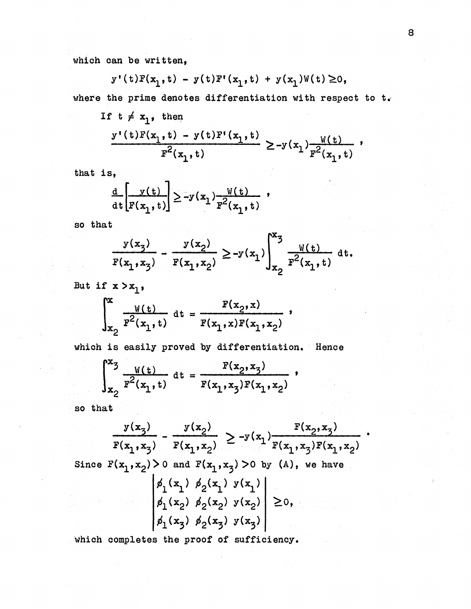which can be written,

$$
y'(t)F(x_1, t) - y(t)F'(x_1, t) + y(x_1)W(t) \ge 0,
$$

where the prime denotes differentiation with respect to t.

If 
$$
t \neq x_1
$$
, then  
\n
$$
\frac{y'(t)F(x_1, t) - y(t)F'(x_1, t)}{F^2(x_1, t)} \ge -y(x_1)\frac{W(t)}{F^2(x_1, t)},
$$

that is,

$$
\frac{d}{dt}\left[\frac{y(t)}{F(x_1,t)}\right] \geq -y(x_1)\frac{W(t)}{F^2(x_1,t)},
$$

so that

$$
\frac{y(x_3)}{F(x_1, x_3)} - \frac{y(x_2)}{F(x_1, x_2)} \ge -y(x_1) \int_{x_2}^{x_3} \frac{y(t)}{F^2(x_1, t)} dt.
$$

But if  $x > x<sub>1</sub>$ ,

$$
\int_{x_2}^{x} \frac{W(t)}{r^2(x_1, t)} dt = \frac{F(x_2, x)}{F(x_1, x)F(x_1, x_2)}
$$

which is easily proved by differentiation. Hence

$$
\int_{x_2}^{x_3} \frac{W(t)}{r^2(x_1, t)} dt = \frac{F(x_2, x_3)}{F(x_1, x_3)F(x_1, x_2)},
$$

so that

$$
\frac{y(x_3)}{F(x_1, x_3)} - \frac{y(x_2)}{F(x_1, x_2)} \ge -y(x_1) \frac{F(x_2, x_3)}{F(x_1, x_3)F(x_1, x_2)}
$$

Since  $F(x_1, x_2) > 0$  and  $F(x_1, x_3) > 0$  by **(A)**, we have

$$
\begin{vmatrix} \n\phi_1(x_1) & \phi_2(x_1) & y(x_1) \\
\n\phi_1(x_2) & \phi_2(x_2) & y(x_2) \\
\n\phi_1(x_3) & \phi_2(x_3) & y(x_3) \n\end{vmatrix} \geq 0,
$$

**which completes the proof of sufficiency.**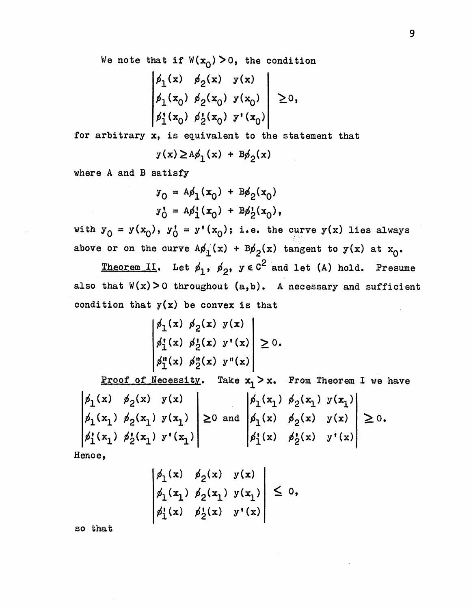**We note that if W(XQ)>**0**, the condition**

$$
\begin{vmatrix} \n\phi_1(x) & \phi_2(x) & y(x) \\
\phi_1(x_0) & \phi_2(x_0) & y(x_0) \\
\phi_1^*(x_0) & \phi_2^*(x_0) & y^*(x_0)\n\end{vmatrix} \geq 0,
$$

**for arbitrary x, is equivalent to the statement that**

$$
y(x) \ge A \phi_1(x) + B \phi_2(x)
$$

**where <sup>A</sup> and <sup>B</sup> satisfy**

$$
y_0 = A\phi_1(x_0) + B\phi_2(x_0)
$$
  

$$
y_0^* = A\phi_1^*(x_0) + B\phi_2^*(x_0),
$$

**with**  $y^0 = y(x^0)$ ,  $y^1 = y^1(x^0)$ ; i.e. the curve  $y(x)$  lies always above or on the curve  $A\phi_1(x) + B\phi_2(x)$  tangent to  $y(x)$  at  $x_0$ .

**Theorem II.** Let  $\phi_1$ ,  $\phi_2$ ,  $y \in C^2$  and let (A) hold. Presume **also that W(x**)>0 **throughout (a,b). <sup>A</sup> necessary and sufficient condition that y(x) be convex is that**

$$
\begin{vmatrix} \n\phi_1(x) & \phi_2(x) & y(x) \\
\phi'_1(x) & \phi'_2(x) & y'(x) \\
\phi''_1(x) & \phi''_2(x) & y''(x) \n\end{vmatrix} \geq 0.
$$

**Proof of Necessity. Take x^ > x. Prom Theorem I we have**

$$
\begin{vmatrix} \n\phi_1(x) & \phi_2(x) & y(x) \\
\phi_1(x_1) & \phi_2(x_1) & y(x_1) \\
\phi'_1(x_1) & \phi'_2(x_1) & y'(x_1) \\
\phi'_1(x_1) & \phi'_2(x_1) & y'(x_1)\n\end{vmatrix} \ge 0 \text{ and } \begin{vmatrix} \n\phi_1(x_1) & \phi_2(x_1) & y(x_1) \\
\phi_1(x) & \phi_2(x) & y(x) \\
\phi'_1(x) & \phi'_2(x) & y'(x)\n\end{vmatrix} \ge 0.
$$

**Hence,**

$$
\begin{vmatrix} \phi_1(x) & \phi_2(x) & y(x) \\ \phi_1(x_1) & \phi_2(x_1) & y(x_1) \\ \phi_1'(x) & \phi_2'(x) & y'(x) \end{vmatrix} \leq 0,
$$

**so that**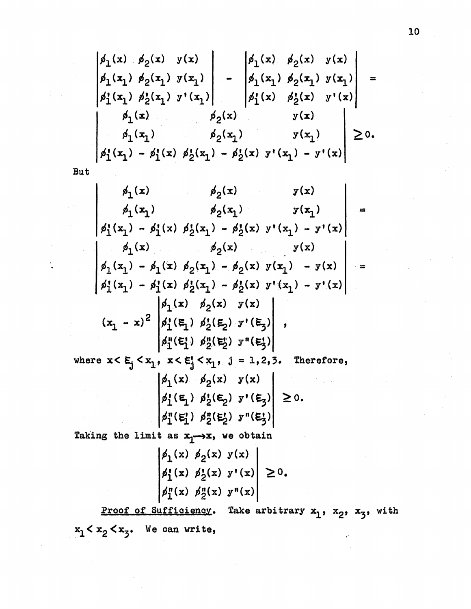$$
\begin{vmatrix}\n\phi_1(x) & \phi_2(x) & y(x) \\
\phi_1(x_1) & \phi_2(x_1) & y(x_1) \\
\phi'_1(x_1) & \phi'_2(x_1) & y'(x_1)\n\end{vmatrix} - \begin{vmatrix}\n\phi_1(x) & \phi_2(x) & y(x) \\
\phi_1(x) & \phi_2(x_1) & y(x_1) \\
\phi'_1(x) & \phi'_2(x) & y'(x)\n\end{vmatrix} = \begin{vmatrix}\n\phi_1(x) & \phi_2(x) & y(x) \\
\phi'_1(x) & \phi'_2(x) & y'(x)\n\end{vmatrix}
$$
\n
$$
\begin{vmatrix}\n\phi_1(x) & \phi_2(x) & y(x) \\
\phi'_1(x) & \phi'_2(x) & y'(x_1) & y(x_1)\n\end{vmatrix} \ge 0.
$$

 $\ddot{\phantom{a}}$ 

But

 $\mathbb{R}^2$ 

 $\frac{1}{2}$ 

 $\frac{1}{2}$ 

But  
\n
$$
\begin{vmatrix}\n\beta_1(x) & \beta_2(x) & y(x) \\
\beta_1(x_1) & \beta_2(x_1) & y(x_1) \\
\beta_1'(x_1) - \beta_1'(x) & \beta_2'(x_1) - \beta_2'(x) & y'(x_1) - y'(x) \\
\beta_1(x) & \beta_2(x) & y(x) \\
\beta_1(x_1) - \beta_1(x) & \beta_2(x_1) - \beta_2(x) & y(x_1) - y'(x) \\
\beta_1'(x_1) - \beta_1'(x) & \beta_2'(x_1) - \beta_2'(x) & y'(x_1) - y'(x)\n\end{vmatrix} = \begin{vmatrix}\n\beta_1(x) & \beta_2(x) & y(x) \\
\beta_1'(x) & \beta_2(x) & y(x) \\
\beta_1'(x) & \beta_2'(x) & y'(x) \\
\beta_1'(x) & \beta_2'(x) & y'(x) \\
\beta_1'(x) & \beta_2'(x) & y'(x)\n\end{vmatrix}
$$
\nwhere  $x < E_j < x_1$ ,  $x < E_j < x_1$ ,  $j = 1, 2, 3$ . Therefore,  
\n
$$
\begin{vmatrix}\n\beta_1(x) & \beta_2(x) & y(x) \\
\beta_1'(x) & \beta_2'(x) & y'(x) \\
\beta_1'(x) & \beta_2'(x) & y'(x) \\
\beta_1'(x) & \beta_2'(x) & y'(x) \\
\beta_1'(x) & \beta_2(x) & y'(x)\n\end{vmatrix} \ge 0.
$$
\nTaking the limit as  $x_1 \rightarrow x$ , we obtain  
\n
$$
\begin{vmatrix}\n\beta_1(x) & \beta_2(x) & y'(x) \\
\beta_1'(x) & \beta_2'(x) & y'(x) \\
\beta_1'(x) & \beta_2'(x) & y'(x)\n\end{vmatrix} \ge 0.
$$
\nProof of sufficient equations. Take arbitrary  $x_1$ ,  $x_2$ ,  $x_3$ ,

 $x_1 < x_2 < x_3$ . We can write,

**10**

with

 $\hat{\mathcal{P}}$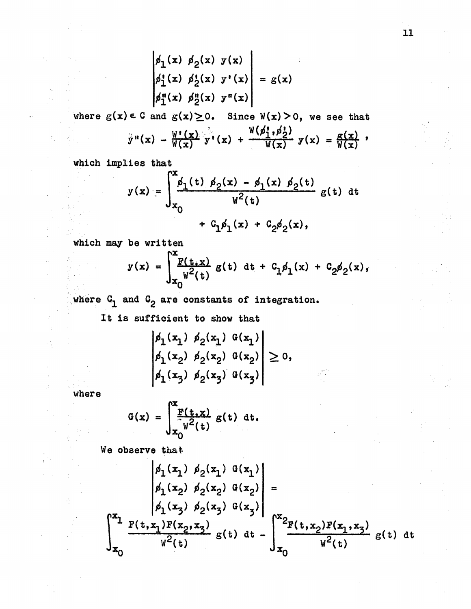where  $g(x) \in C$  and  $g(x) \ge 0$ . Since  $W(x) > 0$ , we see that  $\ddot{y}''(x) - \frac{W'(x)}{W(x)} \ddot{y}''(x) + \frac{W(\phi_1', \phi_2')}{W(x)} y(x) = \frac{g(x)}{W(x)},$ 

which implies that

$$
y(x) = \int_{x_0}^{x} \frac{\phi_1(t) \phi_2(x) - \phi_1(x) \phi_2(t)}{w^2(t)} g(t) dt
$$
  
+  $C_1 \phi_1(x) + C_2 \phi_2(x)$ ,

which may be written

be written  

$$
y(x) = \int_{x_0}^{x} \frac{F(t, x)}{w^2(t)} g(t) dt + C_1 \phi_1(x) + C_2 \phi_2(x),
$$

where  $C_1$  and  $C_2$  are constants of integration.

It is sufficient to show that

$$
\begin{aligned}\n\phi_1(x_1) & \phi_2(x_1) & \mathcal{G}(x_1) \\
\phi_1(x_2) & \phi_2(x_2) & \mathcal{G}(x_2) \\
\phi_1(x_3) & \phi_2(x_3) & \mathcal{G}(x_3)\n\end{aligned}\n\ge 0,
$$

where

$$
G(x) = \int_{x_0}^{x} \frac{F(t, x)}{g(t)} g(t) dt.
$$

We observe that

$$
\begin{vmatrix} \n\phi_1(x_1) & \phi_2(x_1) & G(x_1) \\ \n\phi_1(x_2) & \phi_2(x_2) & G(x_2) \\ \n\phi_1(x_3) & \phi_2(x_3) & G(x_3) \n\end{vmatrix} = \n\begin{vmatrix} x_1 & \frac{F(t, x_1)F(x_2, x_3)}{F(t)} & \frac{F(t, x_1)F(x_2, x_3)}{F(t)} & \frac{F(t, x_2)F(x_1, x_3)}{F(t)} & \frac{F(t, x_2)F(x_1, x_3)}{F(t)} & \frac{F(t, x_2)F(x_1, x_3)}{F(t)} & \frac{F(t, x_2)F(x_1, x_3)}{F(t)} & \frac{F(t, x_2)F(x_1, x_3)}{F(t)} & \frac{F(t, x_2)F(x_1, x_3)}{F(t)} & \frac{F(t, x_2)F(x_1, x_3)}{F(t)} & \frac{F(t, x_2)F(x_1, x_3)}{F(t)} & \frac{F(t, x_2)F(x_1, x_3)}{F(t)} & \frac{F(t, x_2)F(x_1, x_3)}{F(t)} & \frac{F(t, x_2)F(x_1, x_3)}{F(t)} & \frac{F(t, x_2)F(x_2, x_3)}{F(t)} & \frac{F(t, x_2)F(x_2, x_3)}{F(t)} & \frac{F(t, x_2)F(x_2, x_3)}{F(t)} & \frac{F(t, x_2)F(x_2, x_3)}{F(t)} & \frac{F(t, x_2)F(x_2, x_3)}{F(t)} & \frac{F(t, x_2)F(x_1, x_3)}{F(t)} & \frac{F(t, x_2)F(x_1, x_3)}{F(t)} & \frac{F(t, x_2)F(x_1, x_3)}{F(t)} & \frac{F(t, x_2)F(x_1, x_3)}{F(t)} & \frac{F(t, x_2)F(x_1, x_3)}{F(t)} & \frac{F(t, x_2)F(x_1, x_3)}{F(t)} & \frac{F(t, x_2)F(x_1, x_3
$$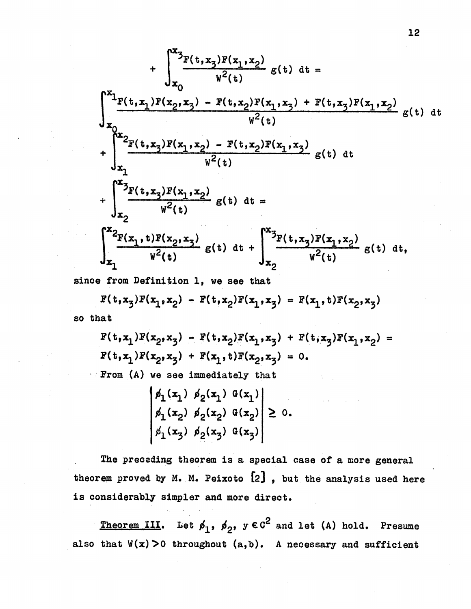$$
+\int_{x_0}^{x_3} \frac{F(t,x_3)F(x_1,x_2)}{w^2(t)} g(t) dt =
$$
\n
$$
\int_{x_0}^{x_1} \frac{F(t,x_1)F(x_2,x_3) - F(t,x_2)F(x_1,x_3) + F(t,x_3)F(x_1,x_2)}{w^2(t)} g(t) dt
$$
\n
$$
+\int_{x_1}^{x_2} \frac{F(t,x_3)F(x_1,x_2) - F(t,x_2)F(x_1,x_3)}{w^2(t)} g(t) dt
$$
\n
$$
+\int_{x_2}^{x_3} \frac{F(t,x_3)F(x_1,x_2)}{w^2(t)} g(t) dt =
$$
\n
$$
\int_{x_1}^{x_2} \frac{F(x_1,t)F(x_2,x_3)}{w^2(t)} g(t) dt + \int_{x_2}^{x_3} \frac{F(t,x_3)F(x_1,x_2)}{w^2(t)} g(t) dt,
$$
\n
$$
=
$$
\nfrom Definition 1, we see that

**since from Definition 1, we see that**

 $F(t, x_3)F(x_1, x_2) - F(t, x_2)F(x_1, x_3) = F(x_1, t)F(x_2, x_3)$ 

**so that**

$$
F(t,x_1)F(x_2,x_3) - F(t,x_2)F(x_1,x_3) + F(t,x_3)F(x_1,x_2) = F(t,x_1)F(x_2,x_3) + F(x_1,t)F(x_2,x_3) = 0.
$$
  
From (A) we see immediately that

| $\left  \begin{array}{cc} \n\phi_1(x_1) & \phi_2(x_1) & G(x_1) \n\end{array} \right $      |  |  |
|--------------------------------------------------------------------------------------------|--|--|
| $\left  \phi_1(x_2) \phi_2(x_2) \mathbb{G}(x_2) \right  \geq 0.$                           |  |  |
| $\left  \begin{array}{cc} \n\phi_1(x_3) & \phi_2(x_3) & \theta(x_3) \n\end{array} \right $ |  |  |

**The preceding theorem is a special case of a more general theorem proved by M. M. Peixoto Ta] , but the analysis used here is considerably simpler and more direct.**

 $\frac{\text{Theorem III.}}{\text{Lil.}}$  Let  $\phi_1$ ,  $\phi_2$ ,  $y \in C^2$  and let (A) hold. Presume **also that W(x)>0 throughout (a,b). A necessary and sufficient**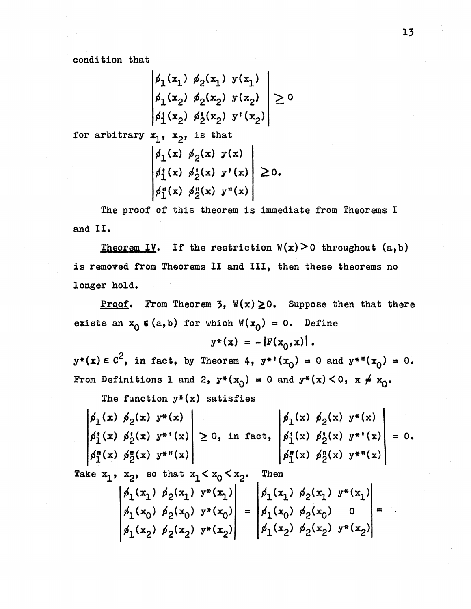condition that

$$
\begin{vmatrix} \n\phi_1(x_1) & \phi_2(x_1) & y(x_1) \\
\phi_1(x_2) & \phi_2(x_2) & y(x_2) \\
\phi_1'(x_2) & \phi_2'(x_2) & y'(x_2)\n\end{vmatrix} \ge 0
$$

for arbitrary  $x_1$ ,  $x_2$ , is that

$$
\begin{vmatrix} \n\phi_1(x) & \phi_2(x) & y(x) \\
\n\phi_1^*(x) & \phi_2^*(x) & y^*(x) \\
\n\phi_1^*(x) & \phi_2^*(x) & y^*(x) \n\end{vmatrix} \geq 0.
$$

The proof of this theorem is immediate from Theorems I and II.

Theorem IV. If the restriction  $W(x)\geq 0$  throughout  $(a,b)$ is removed from Theorems II and III, then these theorems no longer hold.

Proof. From Theorem 3,  $W(x) \geq 0$ . Suppose then that there exists an  $x_0 \in (a,b)$  for which  $W(x_0) = 0$ . Define

$$
y^{*}(x) = -|F(x_0,x)|.
$$

 $y^*(x) \in C^2$ , in fact, by Theorem 4,  $y^{**}(x_0) = 0$  and  $y^{**}(x_0) = 0$ . From Definitions 1 and 2,  $y^*(x_0) = 0$  and  $y^*(x) < 0$ ,  $x \neq x_0$ .

The function  $y^*(x)$  satisfies

|  | $\phi_1(x)$ $\phi_2(x)$ $y^*(x)$                                                     |     |      |                                                         | $\int_{1}^{1}(x) \phi_{2}(x) y^{*}(x)$        |        |
|--|--------------------------------------------------------------------------------------|-----|------|---------------------------------------------------------|-----------------------------------------------|--------|
|  | $\left \phi_{1}^{*}(x) \right  \phi_{2}^{*}(x)$ $y^{*}(x) \right  \geq 0$ , in fact, |     |      |                                                         | $\int \phi_1^*(x) \phi_2^*(x) y^{**}(x)$      | $= 0.$ |
|  | $\left  \phi_1^n(x) \; \phi_2^n(x) \; y^{n} (x) \right $                             |     |      |                                                         | $\int_{1}^{\pi}(x) \phi_{2}^{n}(x) y^{*n}(x)$ |        |
|  | Take $x_1$ , $x_2$ , so that $x_1 < x_0 < x_2$ .                                     |     | Then |                                                         |                                               |        |
|  | $\left  \phi_1(x_1) \phi_2(x_1) y^*(x_1) \right $                                    |     |      | $\left  \phi_1(x_1) \; \phi_2(x_1) \; y^*(x_1) \right $ |                                               |        |
|  | $\left  \phi_1(x_0) \right  \phi_2(x_0)$ y*(x <sub>0</sub> )                         | $=$ |      | $\phi_1(x_0)$ $\phi_2(x_0)$ 0                           |                                               |        |
|  | $\left  \phi_1(x_2) \right  \phi_2(x_2)$ y*(x <sub>2</sub> )                         |     |      | $\left  \phi_1(x_2) \phi_2(x_2) y^*(x_2) \right $       |                                               |        |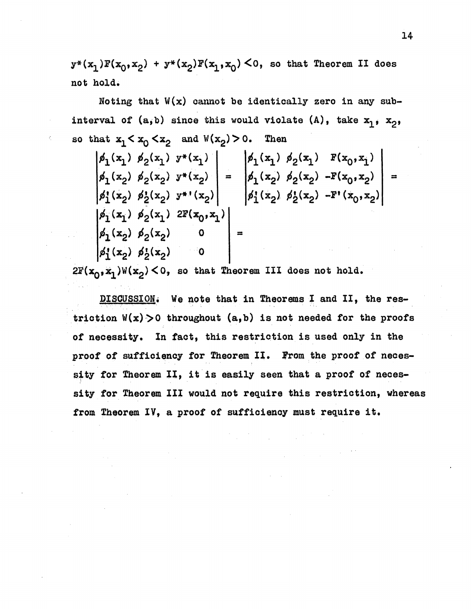$y^*(x^1)F(x^0,x^2) + y^*(x^2)F(x^1,x^0)$  < 0, so that Theorem II does not hold.

Noting that  $W(x)$  cannot be identically zero in any subinterval of  $(a, b)$  since this would violate  $(A)$ , take  $x_1$ ,  $x_2$ , so that  $x_1 < x_0 < x_2$  and  $\mathbb{V}(x_2) > 0$ . Then

$$
\begin{vmatrix}\n\phi_1(x_1) & \phi_2(x_1) & y^*(x_1) \\
\phi_1(x_2) & \phi_2(x_2) & y^*(x_2) \\
\phi'_1(x_2) & \phi'_2(x_2) & y^{**(x_2)}\n\end{vmatrix} = \begin{vmatrix}\n\phi_1(x_1) & \phi_2(x_1) & F(x_0, x_1) \\
\phi_1(x_2) & \phi_2(x_2) & -F(x_0, x_2) \\
\phi'_1(x_2) & \phi'_2(x_2) & -F'(x_0, x_2)\n\end{vmatrix} = \begin{vmatrix}\n\phi_1(x_1) & \phi_2(x_1) & F(x_0, x_1) \\
\phi_1(x_2) & \phi'_2(x_2) & -F'(x_0, x_2)\n\end{vmatrix}
$$

 $2F(x_0, x_1)W(x_2) < 0$ , so that Theorem III does not hold.

DISCUSSION. We note that in Theorems I and II, the restriction  $W(x) > 0$  throughout  $(a, b)$  is not needed for the proofs of necessity. In fact, this restriction is used only in the proof of sufficiency for Theorem II. From the proof of necessity for Theorem II, it is easily seen that a proof of necessity for Theorem III would not require this restriction, whereas from Theorem IV, a proof of sufficiency must require it.